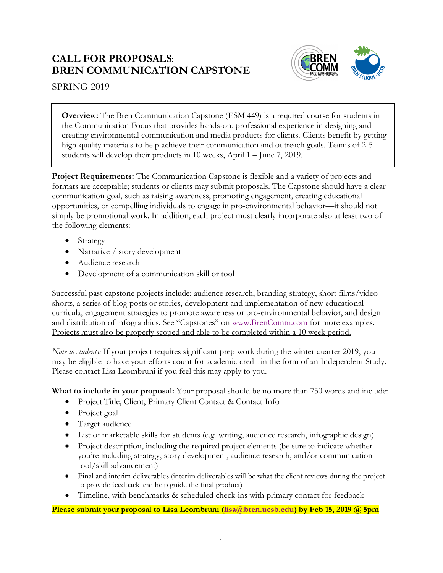## **CALL FOR PROPOSALS**: **BREN COMMUNICATION CAPSTONE**



SPRING 2019

**Overview:** The Bren Communication Capstone (ESM 449) is a required course for students in the Communication Focus that provides hands-on, professional experience in designing and creating environmental communication and media products for clients. Clients benefit by getting high-quality materials to help achieve their communication and outreach goals. Teams of 2-5 students will develop their products in 10 weeks, April 1 – June 7, 2019.

**Project Requirements:** The Communication Capstone is flexible and a variety of projects and formats are acceptable; students or clients may submit proposals. The Capstone should have a clear communication goal, such as raising awareness, promoting engagement, creating educational opportunities, or compelling individuals to engage in pro-environmental behavior—it should not simply be promotional work. In addition, each project must clearly incorporate also at least two of the following elements:

- Strategy
- Narrative / story development
- Audience research
- Development of a communication skill or tool

Successful past capstone projects include: audience research, branding strategy, short films/video shorts, a series of blog posts or stories, development and implementation of new educational curricula, engagement strategies to promote awareness or pro-environmental behavior, and design and distribution of infographics. See "Capstones" on www.BrenComm.com for more examples. Projects must also be properly scoped and able to be completed within a 10 week period.

*Note to students:* If your project requires significant prep work during the winter quarter 2019, you may be eligible to have your efforts count for academic credit in the form of an Independent Study. Please contact Lisa Leombruni if you feel this may apply to you.

**What to include in your proposal:** Your proposal should be no more than 750 words and include:

- Project Title, Client, Primary Client Contact & Contact Info
- Project goal
- Target audience
- List of marketable skills for students (e.g. writing, audience research, infographic design)
- Project description, including the required project elements (be sure to indicate whether you're including strategy, story development, audience research, and/or communication tool/skill advancement)
- Final and interim deliverables (interim deliverables will be what the client reviews during the project to provide feedback and help guide the final product)
- Timeline, with benchmarks & scheduled check-ins with primary contact for feedback

## **Please submit your proposal to Lisa Leombruni (lisa@bren.ucsb.edu) by Feb 15, 2019 @ 5pm**